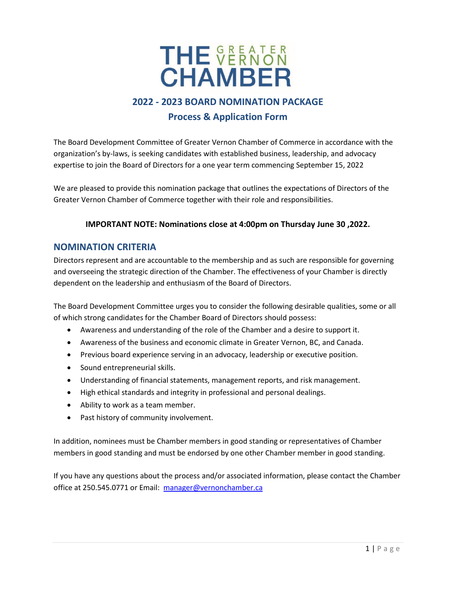

## **2022 - 2023 BOARD NOMINATION PACKAGE Process & Application Form**

The Board Development Committee of Greater Vernon Chamber of Commerce in accordance with the organization's by-laws, is seeking candidates with established business, leadership, and advocacy expertise to join the Board of Directors for a one year term commencing September 15, 2022

We are pleased to provide this nomination package that outlines the expectations of Directors of the Greater Vernon Chamber of Commerce together with their role and responsibilities.

#### **IMPORTANT NOTE: Nominations close at 4:00pm on Thursday June 30 ,2022.**

### **NOMINATION CRITERIA**

Directors represent and are accountable to the membership and as such are responsible for governing and overseeing the strategic direction of the Chamber. The effectiveness of your Chamber is directly dependent on the leadership and enthusiasm of the Board of Directors.

The Board Development Committee urges you to consider the following desirable qualities, some or all of which strong candidates for the Chamber Board of Directors should possess:

- Awareness and understanding of the role of the Chamber and a desire to support it.
- Awareness of the business and economic climate in Greater Vernon, BC, and Canada.
- Previous board experience serving in an advocacy, leadership or executive position.
- Sound entrepreneurial skills.
- Understanding of financial statements, management reports, and risk management.
- High ethical standards and integrity in professional and personal dealings.
- Ability to work as a team member.
- Past history of community involvement.

In addition, nominees must be Chamber members in good standing or representatives of Chamber members in good standing and must be endorsed by one other Chamber member in good standing.

If you have any questions about the process and/or associated information, please contact the Chamber office at 250.545.0771 or Email: [manager@vernonchamber.ca](mailto:info@vernonchamber.ca)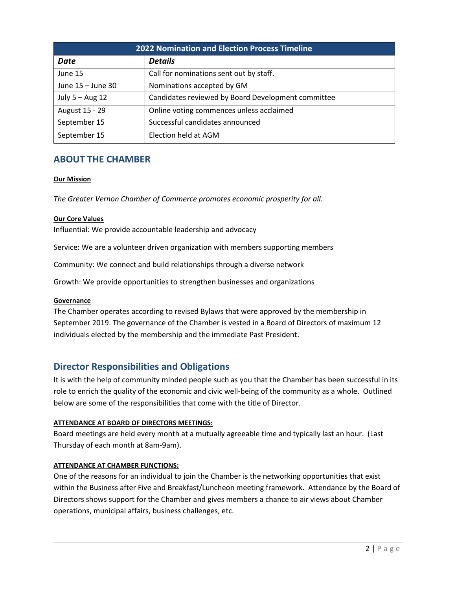| <b>2022 Nomination and Election Process Timeline</b> |                                                    |  |
|------------------------------------------------------|----------------------------------------------------|--|
| <b>Date</b>                                          | <b>Details</b>                                     |  |
| June 15                                              | Call for nominations sent out by staff.            |  |
| June 15 - June 30                                    | Nominations accepted by GM                         |  |
| July 5 - Aug 12                                      | Candidates reviewed by Board Development committee |  |
| August 15 - 29                                       | Online voting commences unless acclaimed           |  |
| September 15                                         | Successful candidates announced                    |  |
| September 15                                         | Election held at AGM                               |  |

## **ABOUT THE CHAMBER**

#### **Our Mission**

*The Greater Vernon Chamber of Commerce promotes economic prosperity for all.*

#### **Our Core Values**

Influential: We provide accountable leadership and advocacy

Service: We are a volunteer driven organization with members supporting members

Community: We connect and build relationships through a diverse network

Growth: We provide opportunities to strengthen businesses and organizations

#### **Governance**

The Chamber operates according to revised Bylaws that were approved by the membership in September 2019. The governance of the Chamber is vested in a Board of Directors of maximum 12 individuals elected by the membership and the immediate Past President.

## **Director Responsibilities and Obligations**

It is with the help of community minded people such as you that the Chamber has been successful in its role to enrich the quality of the economic and civic well-being of the community as a whole. Outlined below are some of the responsibilities that come with the title of Director.

#### **ATTENDANCE AT BOARD OF DIRECTORS MEETINGS:**

Board meetings are held every month at a mutually agreeable time and typically last an hour. (Last Thursday of each month at 8am-9am).

#### **ATTENDANCE AT CHAMBER FUNCTIONS:**

One of the reasons for an individual to join the Chamber is the networking opportunities that exist within the Business after Five and Breakfast/Luncheon meeting framework. Attendance by the Board of Directors shows support for the Chamber and gives members a chance to air views about Chamber operations, municipal affairs, business challenges, etc.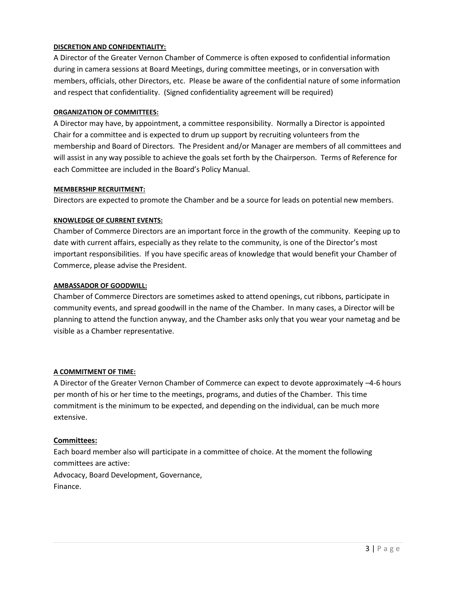#### **DISCRETION AND CONFIDENTIALITY:**

A Director of the Greater Vernon Chamber of Commerce is often exposed to confidential information during in camera sessions at Board Meetings, during committee meetings, or in conversation with members, officials, other Directors, etc. Please be aware of the confidential nature of some information and respect that confidentiality. (Signed confidentiality agreement will be required)

#### **ORGANIZATION OF COMMITTEES:**

A Director may have, by appointment, a committee responsibility. Normally a Director is appointed Chair for a committee and is expected to drum up support by recruiting volunteers from the membership and Board of Directors. The President and/or Manager are members of all committees and will assist in any way possible to achieve the goals set forth by the Chairperson. Terms of Reference for each Committee are included in the Board's Policy Manual.

#### **MEMBERSHIP RECRUITMENT:**

Directors are expected to promote the Chamber and be a source for leads on potential new members.

#### **KNOWLEDGE OF CURRENT EVENTS:**

Chamber of Commerce Directors are an important force in the growth of the community. Keeping up to date with current affairs, especially as they relate to the community, is one of the Director's most important responsibilities. If you have specific areas of knowledge that would benefit your Chamber of Commerce, please advise the President.

#### **AMBASSADOR OF GOODWILL:**

Chamber of Commerce Directors are sometimes asked to attend openings, cut ribbons, participate in community events, and spread goodwill in the name of the Chamber. In many cases, a Director will be planning to attend the function anyway, and the Chamber asks only that you wear your nametag and be visible as a Chamber representative.

#### **A COMMITMENT OF TIME:**

A Director of the Greater Vernon Chamber of Commerce can expect to devote approximately –4-6 hours per month of his or her time to the meetings, programs, and duties of the Chamber. This time commitment is the minimum to be expected, and depending on the individual, can be much more extensive.

#### **Committees:**

Each board member also will participate in a committee of choice. At the moment the following committees are active: Advocacy, Board Development, Governance, Finance.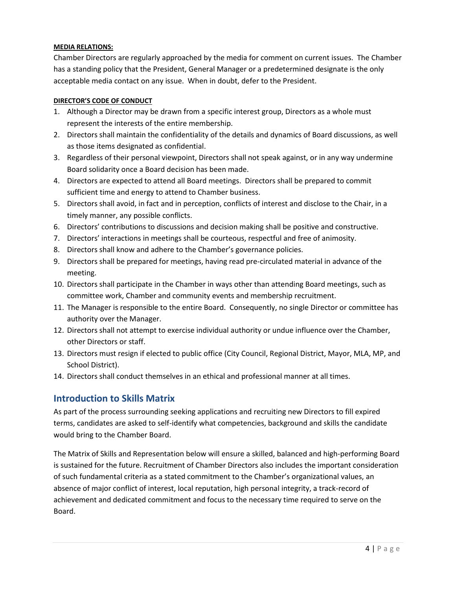#### **MEDIA RELATIONS:**

Chamber Directors are regularly approached by the media for comment on current issues. The Chamber has a standing policy that the President, General Manager or a predetermined designate is the only acceptable media contact on any issue. When in doubt, defer to the President.

#### **DIRECTOR'S CODE OF CONDUCT**

- 1. Although a Director may be drawn from a specific interest group, Directors as a whole must represent the interests of the entire membership.
- 2. Directors shall maintain the confidentiality of the details and dynamics of Board discussions, as well as those items designated as confidential.
- 3. Regardless of their personal viewpoint, Directors shall not speak against, or in any way undermine Board solidarity once a Board decision has been made.
- 4. Directors are expected to attend all Board meetings. Directors shall be prepared to commit sufficient time and energy to attend to Chamber business.
- 5. Directors shall avoid, in fact and in perception, conflicts of interest and disclose to the Chair, in a timely manner, any possible conflicts.
- 6. Directors' contributions to discussions and decision making shall be positive and constructive.
- 7. Directors' interactions in meetings shall be courteous, respectful and free of animosity.
- 8. Directors shall know and adhere to the Chamber's governance policies.
- 9. Directors shall be prepared for meetings, having read pre-circulated material in advance of the meeting.
- 10. Directors shall participate in the Chamber in ways other than attending Board meetings, such as committee work, Chamber and community events and membership recruitment.
- 11. The Manager is responsible to the entire Board. Consequently, no single Director or committee has authority over the Manager.
- 12. Directors shall not attempt to exercise individual authority or undue influence over the Chamber, other Directors or staff.
- 13. Directors must resign if elected to public office (City Council, Regional District, Mayor, MLA, MP, and School District).
- 14. Directors shall conduct themselves in an ethical and professional manner at all times.

## **Introduction to Skills Matrix**

As part of the process surrounding seeking applications and recruiting new Directors to fill expired terms, candidates are asked to self-identify what competencies, background and skills the candidate would bring to the Chamber Board.

The Matrix of Skills and Representation below will ensure a skilled, balanced and high-performing Board is sustained for the future. Recruitment of Chamber Directors also includes the important consideration of such fundamental criteria as a stated commitment to the Chamber's organizational values, an absence of major conflict of interest, local reputation, high personal integrity, a track-record of achievement and dedicated commitment and focus to the necessary time required to serve on the Board.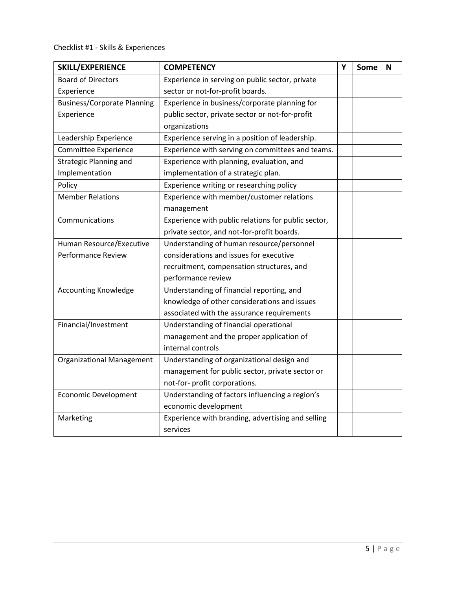## Checklist #1 - Skills & Experiences

| SKILL/EXPERIENCE                   | <b>COMPETENCY</b>                                   | Y | Some | N |
|------------------------------------|-----------------------------------------------------|---|------|---|
| <b>Board of Directors</b>          | Experience in serving on public sector, private     |   |      |   |
| Experience                         | sector or not-for-profit boards.                    |   |      |   |
| <b>Business/Corporate Planning</b> | Experience in business/corporate planning for       |   |      |   |
| Experience                         | public sector, private sector or not-for-profit     |   |      |   |
|                                    | organizations                                       |   |      |   |
| Leadership Experience              | Experience serving in a position of leadership.     |   |      |   |
| Committee Experience               | Experience with serving on committees and teams.    |   |      |   |
| <b>Strategic Planning and</b>      | Experience with planning, evaluation, and           |   |      |   |
| Implementation                     | implementation of a strategic plan.                 |   |      |   |
| Policy                             | Experience writing or researching policy            |   |      |   |
| <b>Member Relations</b>            | Experience with member/customer relations           |   |      |   |
|                                    | management                                          |   |      |   |
| Communications                     | Experience with public relations for public sector, |   |      |   |
|                                    | private sector, and not-for-profit boards.          |   |      |   |
| Human Resource/Executive           | Understanding of human resource/personnel           |   |      |   |
| <b>Performance Review</b>          | considerations and issues for executive             |   |      |   |
|                                    | recruitment, compensation structures, and           |   |      |   |
|                                    | performance review                                  |   |      |   |
| <b>Accounting Knowledge</b>        | Understanding of financial reporting, and           |   |      |   |
|                                    | knowledge of other considerations and issues        |   |      |   |
|                                    | associated with the assurance requirements          |   |      |   |
| Financial/Investment               | Understanding of financial operational              |   |      |   |
|                                    | management and the proper application of            |   |      |   |
|                                    | internal controls                                   |   |      |   |
| <b>Organizational Management</b>   | Understanding of organizational design and          |   |      |   |
|                                    | management for public sector, private sector or     |   |      |   |
|                                    | not-for- profit corporations.                       |   |      |   |
| <b>Economic Development</b>        | Understanding of factors influencing a region's     |   |      |   |
|                                    | economic development                                |   |      |   |
| Marketing                          | Experience with branding, advertising and selling   |   |      |   |
|                                    | services                                            |   |      |   |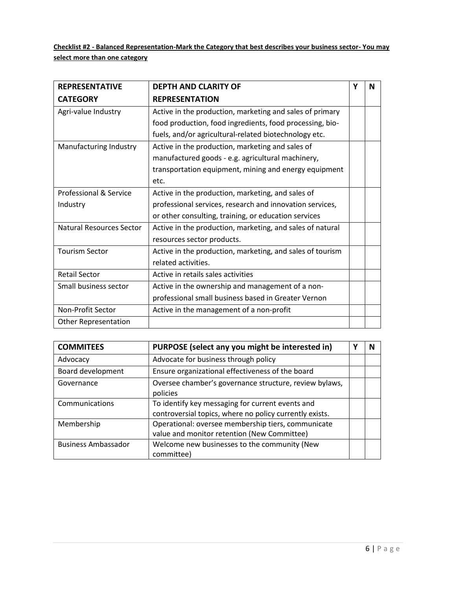**Checklist #2 - Balanced Representation-Mark the Category that best describes your business sector- You may select more than one category**

| <b>REPRESENTATIVE</b>           | <b>DEPTH AND CLARITY OF</b>                               | Υ | N |
|---------------------------------|-----------------------------------------------------------|---|---|
| <b>CATEGORY</b>                 | <b>REPRESENTATION</b>                                     |   |   |
| Agri-value Industry             | Active in the production, marketing and sales of primary  |   |   |
|                                 | food production, food ingredients, food processing, bio-  |   |   |
|                                 | fuels, and/or agricultural-related biotechnology etc.     |   |   |
| Manufacturing Industry          | Active in the production, marketing and sales of          |   |   |
|                                 | manufactured goods - e.g. agricultural machinery,         |   |   |
|                                 | transportation equipment, mining and energy equipment     |   |   |
|                                 | etc.                                                      |   |   |
| Professional & Service          | Active in the production, marketing, and sales of         |   |   |
| Industry                        | professional services, research and innovation services,  |   |   |
|                                 | or other consulting, training, or education services      |   |   |
| <b>Natural Resources Sector</b> | Active in the production, marketing, and sales of natural |   |   |
|                                 | resources sector products.                                |   |   |
| <b>Tourism Sector</b>           | Active in the production, marketing, and sales of tourism |   |   |
|                                 | related activities.                                       |   |   |
| <b>Retail Sector</b>            | Active in retails sales activities                        |   |   |
| Small business sector           | Active in the ownership and management of a non-          |   |   |
|                                 | professional small business based in Greater Vernon       |   |   |
| Non-Profit Sector               | Active in the management of a non-profit                  |   |   |
| <b>Other Representation</b>     |                                                           |   |   |

| <b>COMMITEES</b>           | PURPOSE (select any you might be interested in)                                                             | N |
|----------------------------|-------------------------------------------------------------------------------------------------------------|---|
| Advocacy                   | Advocate for business through policy                                                                        |   |
| Board development          | Ensure organizational effectiveness of the board                                                            |   |
| Governance                 | Oversee chamber's governance structure, review bylaws,<br>policies                                          |   |
| Communications             | To identify key messaging for current events and<br>controversial topics, where no policy currently exists. |   |
| Membership                 | Operational: oversee membership tiers, communicate<br>value and monitor retention (New Committee)           |   |
| <b>Business Ambassador</b> | Welcome new businesses to the community (New<br>committee)                                                  |   |